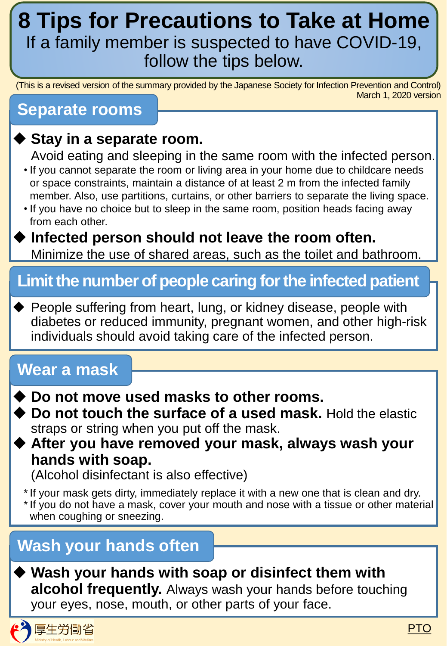# **8 Tips for Precautions to Take at Home** If a family member is suspected to have COVID-19, follow the tips below.

(This is a revised version of the summary provided by the Japanese Society for Infection Prevention and Control) March 1, 2020 version

#### **Separate rooms**

#### **Stay in a separate room.**

Avoid eating and sleeping in the same room with the infected person.

- If you cannot separate the room or living area in your home due to childcare needs or space constraints, maintain a distance of at least 2 m from the infected family member. Also, use partitions, curtains, or other barriers to separate the living space.
- If you have no choice but to sleep in the same room, position heads facing away from each other.

#### **Infected person should not leave the room often.** Minimize the use of shared areas, such as the toilet and bathroom.

### **Limit the number of people caring for the infected patient**

◆ People suffering from heart, lung, or kidney disease, people with diabetes or reduced immunity, pregnant women, and other high-risk individuals should avoid taking care of the infected person.

### **Wear a mask**

- **Do not move used masks to other rooms.**
- ◆ Do not touch the surface of a used mask. Hold the elastic straps or string when you put off the mask.
- **After you have removed your mask, always wash your hands with soap.**

(Alcohol disinfectant is also effective)

\*If your mask gets dirty, immediately replace it with a new one that is clean and dry. \*If you do not have a mask, cover your mouth and nose with a tissue or other material when coughing or sneezing.

### **Wash your hands often**

#### **Wash your hands with soap or disinfect them with alcohol frequently.** Always wash your hands before touching your eyes, nose, mouth, or other parts of your face.